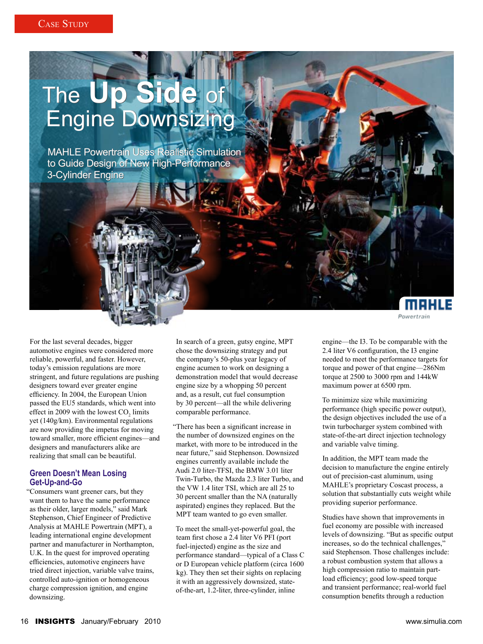# The **Up Side** of The Up Side of<br>Engine Downsizing

MAHLE Powertrain Uses Realistic Simulation MAHLE Powertrain Uses Realistic Simulation to Guide Design of New High-Performance to Guide Design of New High-Performance 3-Cylinder Engine 3-Cylinder Engine

For the last several decades, bigger automotive engines were considered more reliable, powerful, and faster. However, today's emission regulations are more stringent, and future regulations are pushing designers toward ever greater engine efficiency. In 2004, the European Union passed the EU5 standards, which went into effect in 2009 with the lowest  $CO_2$  limits yet (140g/km). Environmental regulations are now providing the impetus for moving toward smaller, more efficient engines—and designers and manufacturers alike are realizing that small can be beautiful.

## **Green Doesn't Mean Losing Get-Up-and-Go**

"Consumers want greener cars, but they want them to have the same performance as their older, larger models," said Mark Stephenson, Chief Engineer of Predictive Analysis at MAHLE Powertrain (MPT), a leading international engine development partner and manufacturer in Northampton, U.K. In the quest for improved operating efficiencies, automotive engineers have tried direct injection, variable valve trains, controlled auto-ignition or homogeneous charge compression ignition, and engine downsizing.

In search of a green, gutsy engine, MPT chose the downsizing strategy and put the company's 50-plus year legacy of engine acumen to work on designing a demonstration model that would decrease engine size by a whopping 50 percent and, as a result, cut fuel consumption by 30 percent—all the while delivering comparable performance.

"There has been a significant increase in the number of downsized engines on the market, with more to be introduced in the near future," said Stephenson. Downsized engines currently available include the Audi 2.0 liter-TFSI, the BMW 3.01 liter Twin-Turbo, the Mazda 2.3 liter Turbo, and the VW 1.4 liter TSI, which are all 25 to 30 percent smaller than the NA (naturally aspirated) engines they replaced. But the MPT team wanted to go even smaller.

To meet the small-yet-powerful goal, the team first chose a 2.4 liter V6 PFI (port fuel-injected) engine as the size and performance standard—typical of a Class C or D European vehicle platform (circa 1600 kg). They then set their sights on replacing it with an aggressively downsized, stateof-the-art, 1.2-liter, three-cylinder, inline

engine—the I3. To be comparable with the 2.4 liter V6 configuration, the I3 engine needed to meet the performance targets for torque and power of that engine—286Nm torque at 2500 to 3000 rpm and 144kW maximum power at 6500 rpm.

meHLE

**Powertrain** 

To minimize size while maximizing performance (high specific power output), the design objectives included the use of a twin turbocharger system combined with state-of-the-art direct injection technology and variable valve timing.

In addition, the MPT team made the decision to manufacture the engine entirely out of precision-cast aluminum, using MAHLE's proprietary Coscast process, a solution that substantially cuts weight while providing superior performance.

Studies have shown that improvements in fuel economy are possible with increased levels of downsizing. "But as specific output increases, so do the technical challenges," said Stephenson. Those challenges include: a robust combustion system that allows a high compression ratio to maintain partload efficiency; good low-speed torque and transient performance; real-world fuel consumption benefits through a reduction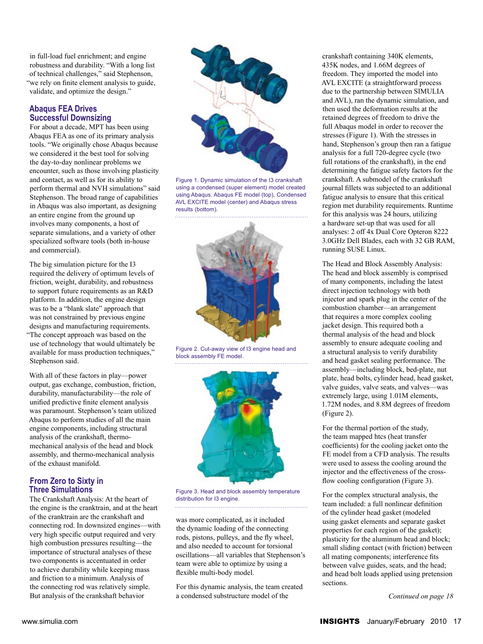in full-load fuel enrichment; and engine robustness and durability. "With a long list of technical challenges," said Stephenson, "we rely on finite element analysis to guide, validate, and optimize the design."

#### **Abaqus FEA Drives Successful Downsizing**

For about a decade, MPT has been using Abaqus FEA as one of its primary analysis tools. "We originally chose Abaqus because we considered it the best tool for solving the day-to-day nonlinear problems we encounter, such as those involving plasticity and contact, as well as for its ability to perform thermal and NVH simulations" said Stephenson. The broad range of capabilities in Abaqus was also important, as designing an entire engine from the ground up involves many components, a host of separate simulations, and a variety of other specialized software tools (both in-house and commercial).

The big simulation picture for the I3 required the delivery of optimum levels of friction, weight, durability, and robustness to support future requirements as an R&D platform. In addition, the engine design was to be a "blank slate" approach that was not constrained by previous engine designs and manufacturing requirements. "The concept approach was based on the

use of technology that would ultimately be available for mass production techniques," Stephenson said.

With all of these factors in play—power output, gas exchange, combustion, friction, durability, manufacturability—the role of unified predictive finite element analysis was paramount. Stephenson's team utilized Abaqus to perform studies of all the main engine components, including structural analysis of the crankshaft, thermomechanical analysis of the head and block assembly, and thermo-mechanical analysis of the exhaust manifold.

## **From Zero to Sixty in Three Simulations**

The Crankshaft Analysis: At the heart of the engine is the cranktrain, and at the heart of the cranktrain are the crankshaft and connecting rod. In downsized engines—with very high specific output required and very high combustion pressures resulting—the importance of structural analyses of these two components is accentuated in order to achieve durability while keeping mass and friction to a minimum. Analysis of the connecting rod was relatively simple. But analysis of the crankshaft behavior



Figure 1. Dynamic simulation of the I3 crankshaft using a condensed (super element) model created using Abaqus. Abaqus FE model (top), Condensed AVL EXCITE model (center) and Abaqus stress results (bottom).



Figure 2. Cut-away view of I3 engine head and block assembly FE model.



Figure 3. Head and block assembly temperature distribution for I3 engine.

was more complicated, as it included the dynamic loading of the connecting rods, pistons, pulleys, and the fly wheel, and also needed to account for torsional oscillations—all variables that Stephenson's team were able to optimize by using a flexible multi-body model.

For this dynamic analysis, the team created a condensed substructure model of the

crankshaft containing 340K elements, 435K nodes, and 1.66M degrees of freedom. They imported the model into AVL EXCITE (a straightforward process due to the partnership between SIMULIA and AVL), ran the dynamic simulation, and then used the deformation results at the retained degrees of freedom to drive the full Abaqus model in order to recover the stresses (Figure 1). With the stresses in hand, Stephenson's group then ran a fatigue analysis for a full 720-degree cycle (two full rotations of the crankshaft), in the end determining the fatigue safety factors for the crankshaft. A submodel of the crankshaft journal fillets was subjected to an additional fatigue analysis to ensure that this critical region met durability requirements. Runtime for this analysis was 24 hours, utilizing a hardware set-up that was used for all analyses: 2 off 4x Dual Core Opteron 8222 3.0GHz Dell Blades, each with 32 GB RAM, running SUSE Linux.

The Head and Block Assembly Analysis: The head and block assembly is comprised of many components, including the latest direct injection technology with both injector and spark plug in the center of the combustion chamber—an arrangement that requires a more complex cooling jacket design. This required both a thermal analysis of the head and block assembly to ensure adequate cooling and a structural analysis to verify durability and head gasket sealing performance. The assembly—including block, bed-plate, nut plate, head bolts, cylinder head, head gasket, valve guides, valve seats, and valves—was extremely large, using 1.01M elements, 1.72M nodes, and 8.8M degrees of freedom (Figure 2).

For the thermal portion of the study, the team mapped htcs (heat transfer coefficients) for the cooling jacket onto the FE model from a CFD analysis. The results were used to assess the cooling around the injector and the effectiveness of the crossflow cooling configuration (Figure 3).

For the complex structural analysis, the team included: a full nonlinear definition of the cylinder head gasket (modeled using gasket elements and separate gasket properties for each region of the gasket); plasticity for the aluminum head and block; small sliding contact (with friction) between all mating components; interference fits between valve guides, seats, and the head; and head bolt loads applied using pretension sections.

*Continued on page 18*